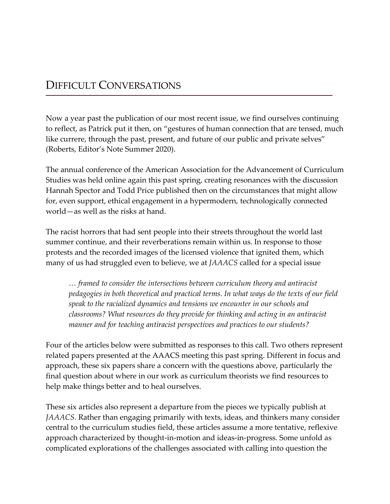## DIFFICULT CONVERSATIONS

Now a year past the publication of our most recent issue, we find ourselves continuing to reflect, as Patrick put it then, on "gestures of human connection that are tensed, much like currere, through the past, present, and future of our public and private selves" (Roberts, Editor's Note Summer 2020).

The annual conference of the American Association for the Advancement of Curriculum Studies was held online again this past spring, creating resonances with the discussion Hannah Spector and Todd Price published then on the circumstances that might allow for, even support, ethical engagement in a hypermodern, technologically connected world—as well as the risks at hand.

The racist horrors that had sent people into their streets throughout the world last summer continue, and their reverberations remain within us. In response to those protests and the recorded images of the licensed violence that ignited them, which many of us had struggled even to believe, we at *JAAACS* called for a special issue

*… framed to consider the intersections between curriculum theory and antiracist pedagogies in both theoretical and practical terms. In what ways do the texts of our field speak to the racialized dynamics and tensions we encounter in our schools and classrooms? What resources do they provide for thinking and acting in an antiracist manner and for teaching antiracist perspectives and practices to our students?*

Four of the articles below were submitted as responses to this call. Two others represent related papers presented at the AAACS meeting this past spring. Different in focus and approach, these six papers share a concern with the questions above, particularly the final question about where in our work as curriculum theorists we find resources to help make things better and to heal ourselves.

These six articles also represent a departure from the pieces we typically publish at *JAAACS*. Rather than engaging primarily with texts, ideas, and thinkers many consider central to the curriculum studies field, these articles assume a more tentative, reflexive approach characterized by thought-in-motion and ideas-in-progress. Some unfold as complicated explorations of the challenges associated with calling into question the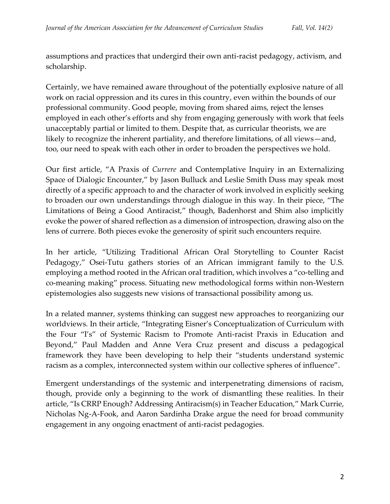assumptions and practices that undergird their own anti-racist pedagogy, activism, and scholarship.

Certainly, we have remained aware throughout of the potentially explosive nature of all work on racial oppression and its cures in this country, even within the bounds of our professional community. Good people, moving from shared aims, reject the lenses employed in each other's efforts and shy from engaging generously with work that feels unacceptably partial or limited to them. Despite that, as curricular theorists, we are likely to recognize the inherent partiality, and therefore limitations, of all views—and, too, our need to speak with each other in order to broaden the perspectives we hold.

Our first article, "A Praxis of *Currere* and Contemplative Inquiry in an Externalizing Space of Dialogic Encounter," by Jason Bulluck and Leslie Smith Duss may speak most directly of a specific approach to and the character of work involved in explicitly seeking to broaden our own understandings through dialogue in this way. In their piece, "The Limitations of Being a Good Antiracist," though, Badenhorst and Shim also implicitly evoke the power of shared reflection as a dimension of introspection, drawing also on the lens of currere. Both pieces evoke the generosity of spirit such encounters require.

In her article, "Utilizing Traditional African Oral Storytelling to Counter Racist Pedagogy," Osei-Tutu gathers stories of an African immigrant family to the U.S. employing a method rooted in the African oral tradition, which involves a "co-telling and co-meaning making" process. Situating new methodological forms within non-Western epistemologies also suggests new visions of transactional possibility among us.

In a related manner, systems thinking can suggest new approaches to reorganizing our worldviews. In their article, "Integrating Eisner's Conceptualization of Curriculum with the Four "I's" of Systemic Racism to Promote Anti-racist Praxis in Education and Beyond," Paul Madden and Anne Vera Cruz present and discuss a pedagogical framework they have been developing to help their "students understand systemic racism as a complex, interconnected system within our collective spheres of influence".

Emergent understandings of the systemic and interpenetrating dimensions of racism, though, provide only a beginning to the work of dismantling these realities. In their article, "Is CRRP Enough? Addressing Antiracism(s) in Teacher Education," Mark Currie, Nicholas Ng-A-Fook, and Aaron Sardinha Drake argue the need for broad community engagement in any ongoing enactment of anti-racist pedagogies.